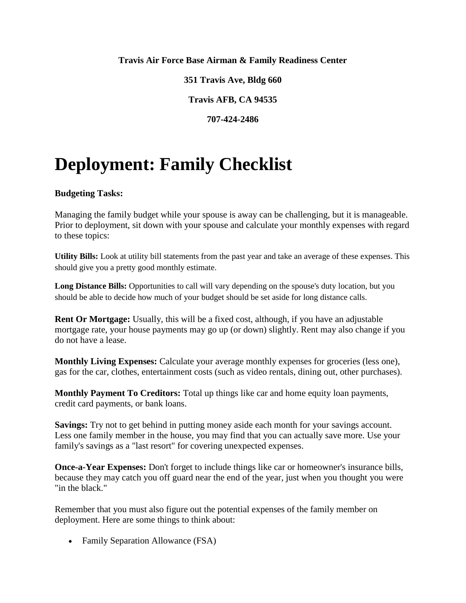#### **Travis Air Force Base Airman & Family Readiness Center**

**351 Travis Ave, Bldg 660**

**Travis AFB, CA 94535**

**707-424-2486**

# **Deployment: Family Checklist**

### **Budgeting Tasks:**

Managing the family budget while your spouse is away can be challenging, but it is manageable. Prior to deployment, sit down with your spouse and calculate your monthly expenses with regard to these topics:

**Utility Bills:** Look at utility bill statements from the past year and take an average of these expenses. This should give you a pretty good monthly estimate.

**Long Distance Bills:** Opportunities to call will vary depending on the spouse's duty location, but you should be able to decide how much of your budget should be set aside for long distance calls.

**Rent Or Mortgage:** Usually, this will be a fixed cost, although, if you have an adjustable mortgage rate, your house payments may go up (or down) slightly. Rent may also change if you do not have a lease.

**Monthly Living Expenses:** Calculate your average monthly expenses for groceries (less one), gas for the car, clothes, entertainment costs (such as video rentals, dining out, other purchases).

**Monthly Payment To Creditors:** Total up things like car and home equity loan payments, credit card payments, or bank loans.

**Savings:** Try not to get behind in putting money aside each month for your savings account. Less one family member in the house, you may find that you can actually save more. Use your family's savings as a "last resort" for covering unexpected expenses.

**Once-a-Year Expenses:** Don't forget to include things like car or homeowner's insurance bills, because they may catch you off guard near the end of the year, just when you thought you were "in the black."

Remember that you must also figure out the potential expenses of the family member on deployment. Here are some things to think about:

• Family Separation Allowance (FSA)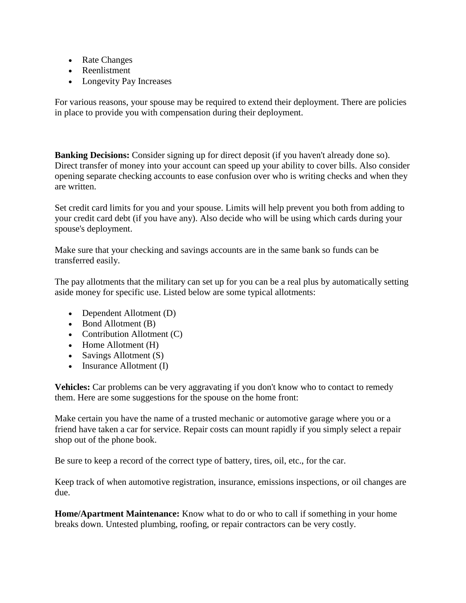- Rate Changes
- Reenlistment
- Longevity Pay Increases

For various reasons, your spouse may be required to extend their deployment. There are policies in place to provide you with compensation during their deployment.

**Banking Decisions:** Consider signing up for direct deposit (if you haven't already done so). Direct transfer of money into your account can speed up your ability to cover bills. Also consider opening separate checking accounts to ease confusion over who is writing checks and when they are written.

Set credit card limits for you and your spouse. Limits will help prevent you both from adding to your credit card debt (if you have any). Also decide who will be using which cards during your spouse's deployment.

Make sure that your checking and savings accounts are in the same bank so funds can be transferred easily.

The pay allotments that the military can set up for you can be a real plus by automatically setting aside money for specific use. Listed below are some typical allotments:

- Dependent Allotment (D)
- Bond Allotment (B)
- Contribution Allotment (C)
- Home Allotment (H)
- Savings Allotment  $(S)$
- $\bullet$  Insurance Allotment (I)

**Vehicles:** Car problems can be very aggravating if you don't know who to contact to remedy them. Here are some suggestions for the spouse on the home front:

Make certain you have the name of a trusted mechanic or automotive garage where you or a friend have taken a car for service. Repair costs can mount rapidly if you simply select a repair shop out of the phone book.

Be sure to keep a record of the correct type of battery, tires, oil, etc., for the car.

Keep track of when automotive registration, insurance, emissions inspections, or oil changes are due.

**Home/Apartment Maintenance:** Know what to do or who to call if something in your home breaks down. Untested plumbing, roofing, or repair contractors can be very costly.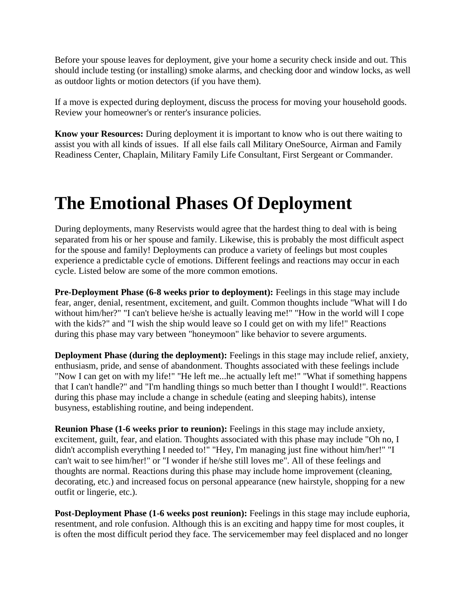Before your spouse leaves for deployment, give your home a security check inside and out. This should include testing (or installing) smoke alarms, and checking door and window locks, as well as outdoor lights or motion detectors (if you have them).

If a move is expected during deployment, discuss the process for moving your household goods. Review your homeowner's or renter's insurance policies.

**Know your Resources:** During deployment it is important to know who is out there waiting to assist you with all kinds of issues. If all else fails call Military OneSource, Airman and Family Readiness Center, Chaplain, Military Family Life Consultant, First Sergeant or Commander.

## **The Emotional Phases Of Deployment**

During deployments, many Reservists would agree that the hardest thing to deal with is being separated from his or her spouse and family. Likewise, this is probably the most difficult aspect for the spouse and family! Deployments can produce a variety of feelings but most couples experience a predictable cycle of emotions. Different feelings and reactions may occur in each cycle. Listed below are some of the more common emotions.

**Pre-Deployment Phase (6-8 weeks prior to deployment):** Feelings in this stage may include fear, anger, denial, resentment, excitement, and guilt. Common thoughts include "What will I do without him/her?" "I can't believe he/she is actually leaving me!" "How in the world will I cope with the kids?" and "I wish the ship would leave so I could get on with my life!" Reactions during this phase may vary between "honeymoon" like behavior to severe arguments.

**Deployment Phase (during the deployment):** Feelings in this stage may include relief, anxiety, enthusiasm, pride, and sense of abandonment. Thoughts associated with these feelings include "Now I can get on with my life!" "He left me...he actually left me!" "What if something happens that I can't handle?" and "I'm handling things so much better than I thought I would!". Reactions during this phase may include a change in schedule (eating and sleeping habits), intense busyness, establishing routine, and being independent.

**Reunion Phase (1-6 weeks prior to reunion):** Feelings in this stage may include anxiety, excitement, guilt, fear, and elation. Thoughts associated with this phase may include "Oh no, I didn't accomplish everything I needed to!" "Hey, I'm managing just fine without him/her!" "I can't wait to see him/her!" or "I wonder if he/she still loves me". All of these feelings and thoughts are normal. Reactions during this phase may include home improvement (cleaning, decorating, etc.) and increased focus on personal appearance (new hairstyle, shopping for a new outfit or lingerie, etc.).

**Post-Deployment Phase (1-6 weeks post reunion):** Feelings in this stage may include euphoria, resentment, and role confusion. Although this is an exciting and happy time for most couples, it is often the most difficult period they face. The servicemember may feel displaced and no longer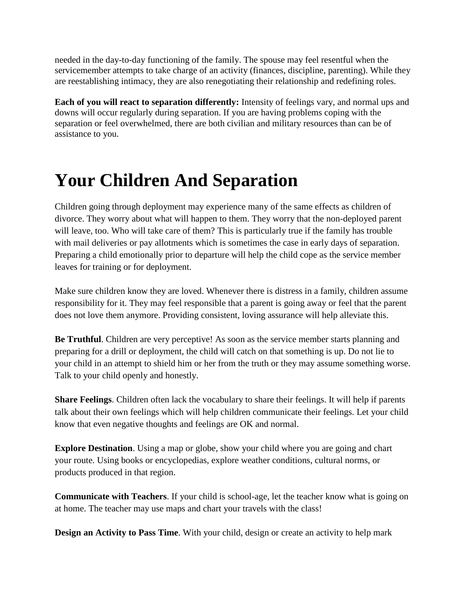needed in the day-to-day functioning of the family. The spouse may feel resentful when the servicemember attempts to take charge of an activity (finances, discipline, parenting). While they are reestablishing intimacy, they are also renegotiating their relationship and redefining roles.

**Each of you will react to separation differently:** Intensity of feelings vary, and normal ups and downs will occur regularly during separation. If you are having problems coping with the separation or feel overwhelmed, there are both civilian and military resources than can be of assistance to you.

# **Your Children And Separation**

Children going through deployment may experience many of the same effects as children of divorce. They worry about what will happen to them. They worry that the non-deployed parent will leave, too. Who will take care of them? This is particularly true if the family has trouble with mail deliveries or pay allotments which is sometimes the case in early days of separation. Preparing a child emotionally prior to departure will help the child cope as the service member leaves for training or for deployment.

Make sure children know they are loved. Whenever there is distress in a family, children assume responsibility for it. They may feel responsible that a parent is going away or feel that the parent does not love them anymore. Providing consistent, loving assurance will help alleviate this.

**Be Truthful**. Children are very perceptive! As soon as the service member starts planning and preparing for a drill or deployment, the child will catch on that something is up. Do not lie to your child in an attempt to shield him or her from the truth or they may assume something worse. Talk to your child openly and honestly.

**Share Feelings**. Children often lack the vocabulary to share their feelings. It will help if parents talk about their own feelings which will help children communicate their feelings. Let your child know that even negative thoughts and feelings are OK and normal.

**Explore Destination**. Using a map or globe, show your child where you are going and chart your route. Using books or encyclopedias, explore weather conditions, cultural norms, or products produced in that region.

**Communicate with Teachers**. If your child is school-age, let the teacher know what is going on at home. The teacher may use maps and chart your travels with the class!

**Design an Activity to Pass Time**. With your child, design or create an activity to help mark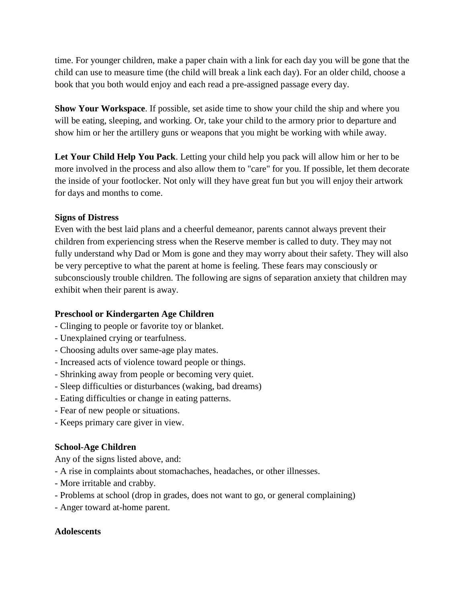time. For younger children, make a paper chain with a link for each day you will be gone that the child can use to measure time (the child will break a link each day). For an older child, choose a book that you both would enjoy and each read a pre-assigned passage every day.

**Show Your Workspace**. If possible, set aside time to show your child the ship and where you will be eating, sleeping, and working. Or, take your child to the armory prior to departure and show him or her the artillery guns or weapons that you might be working with while away.

**Let Your Child Help You Pack**. Letting your child help you pack will allow him or her to be more involved in the process and also allow them to "care" for you. If possible, let them decorate the inside of your footlocker. Not only will they have great fun but you will enjoy their artwork for days and months to come.

### **Signs of Distress**

Even with the best laid plans and a cheerful demeanor, parents cannot always prevent their children from experiencing stress when the Reserve member is called to duty. They may not fully understand why Dad or Mom is gone and they may worry about their safety. They will also be very perceptive to what the parent at home is feeling. These fears may consciously or subconsciously trouble children. The following are signs of separation anxiety that children may exhibit when their parent is away.

### **Preschool or Kindergarten Age Children**

- Clinging to people or favorite toy or blanket.
- Unexplained crying or tearfulness.
- Choosing adults over same-age play mates.
- Increased acts of violence toward people or things.
- Shrinking away from people or becoming very quiet.
- Sleep difficulties or disturbances (waking, bad dreams)
- Eating difficulties or change in eating patterns.
- Fear of new people or situations.
- Keeps primary care giver in view.

### **School-Age Children**

Any of the signs listed above, and:

- A rise in complaints about stomachaches, headaches, or other illnesses.
- More irritable and crabby.
- Problems at school (drop in grades, does not want to go, or general complaining)
- Anger toward at-home parent.

#### **Adolescents**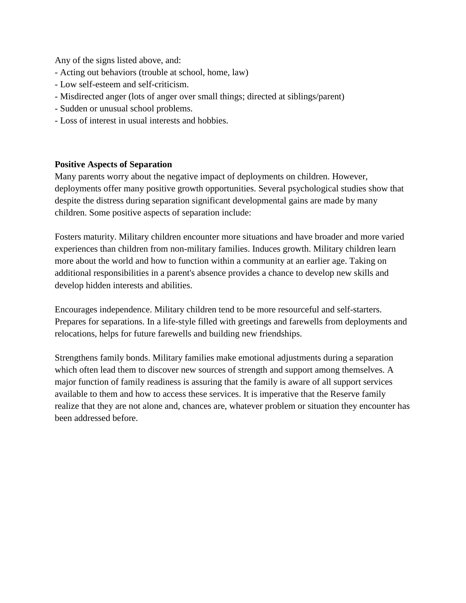Any of the signs listed above, and:

- Acting out behaviors (trouble at school, home, law)
- Low self-esteem and self-criticism.
- Misdirected anger (lots of anger over small things; directed at siblings/parent)
- Sudden or unusual school problems.
- Loss of interest in usual interests and hobbies.

#### **Positive Aspects of Separation**

Many parents worry about the negative impact of deployments on children. However, deployments offer many positive growth opportunities. Several psychological studies show that despite the distress during separation significant developmental gains are made by many children. Some positive aspects of separation include:

Fosters maturity. Military children encounter more situations and have broader and more varied experiences than children from non-military families. Induces growth. Military children learn more about the world and how to function within a community at an earlier age. Taking on additional responsibilities in a parent's absence provides a chance to develop new skills and develop hidden interests and abilities.

Encourages independence. Military children tend to be more resourceful and self-starters. Prepares for separations. In a life-style filled with greetings and farewells from deployments and relocations, helps for future farewells and building new friendships.

Strengthens family bonds. Military families make emotional adjustments during a separation which often lead them to discover new sources of strength and support among themselves. A major function of family readiness is assuring that the family is aware of all support services available to them and how to access these services. It is imperative that the Reserve family realize that they are not alone and, chances are, whatever problem or situation they encounter has been addressed before.